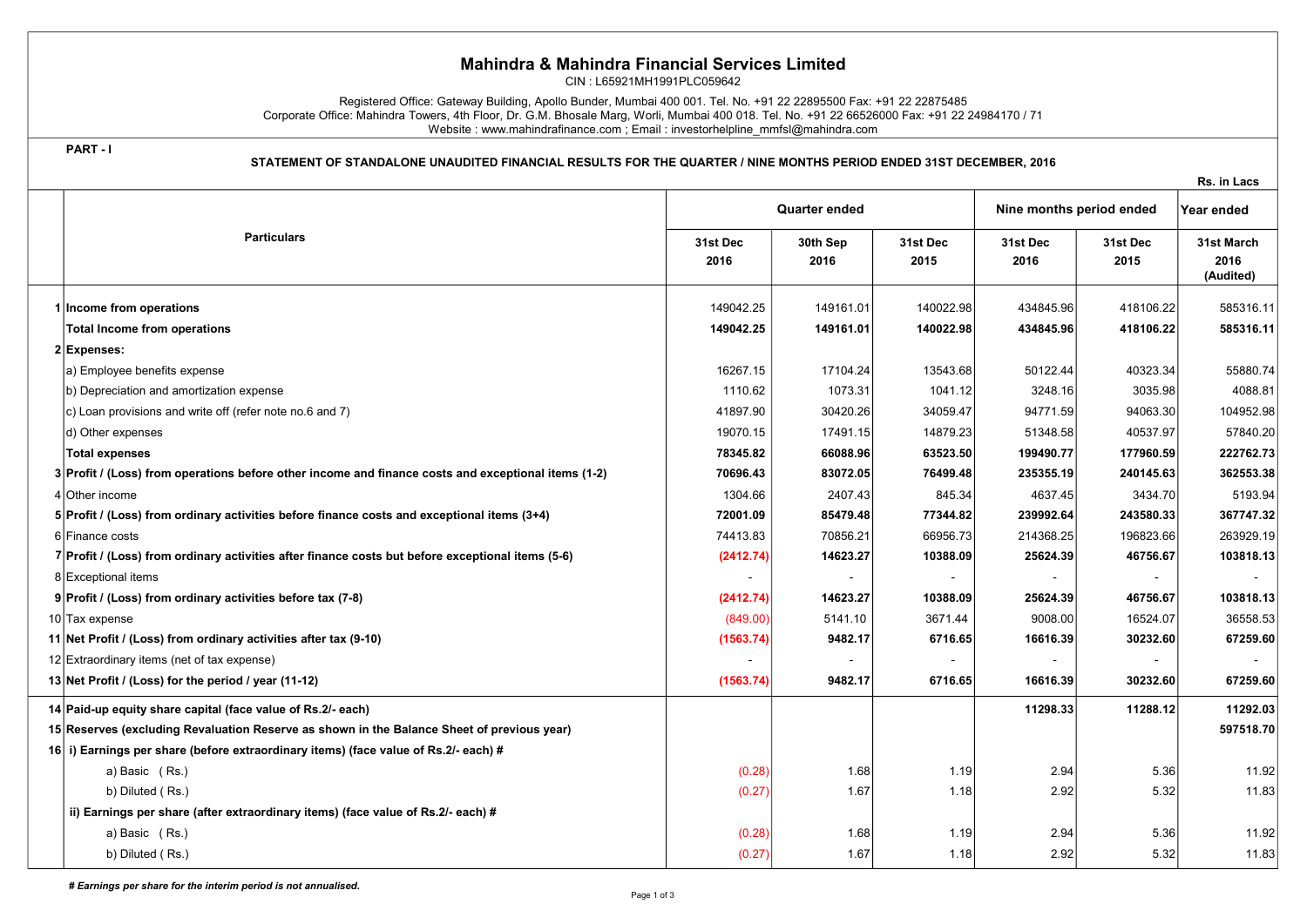## Mahindra & Mahindra Financial Services Limited

CIN : L65921MH1991PLC059642

Registered Office: Gateway Building, Apollo Bunder, Mumbai 400 001. Tel. No. +91 22 22895500 Fax: +91 22 22875485 Corporate Office: Mahindra Towers, 4th Floor, Dr. G.M. Bhosale Marg, Worli, Mumbai 400 018. Tel. No. +91 22 66526000 Fax: +91 22 24984170 / 71 Website : www.mahindrafinance.com ; Email : investorhelpline\_mmfsl@mahindra.com

PART - I

STATEMENT OF STANDALONE UNAUDITED FINANCIAL RESULTS FOR THE QUARTER / NINE MONTHS PERIOD ENDED 31ST DECEMBER, 2016

|                                                                                                     |                      |                  |                  |                          |                  | Rs. in Lacs                     |
|-----------------------------------------------------------------------------------------------------|----------------------|------------------|------------------|--------------------------|------------------|---------------------------------|
|                                                                                                     | <b>Quarter ended</b> |                  |                  | Nine months period ended |                  | Year ended                      |
| <b>Particulars</b>                                                                                  |                      | 30th Sep<br>2016 | 31st Dec<br>2015 | 31st Dec<br>2016         | 31st Dec<br>2015 | 31st March<br>2016<br>(Audited) |
| 1 Income from operations                                                                            | 149042.25            | 149161.01        | 140022.98        | 434845.96                | 418106.22        | 585316.11                       |
| Total Income from operations                                                                        | 149042.25            | 149161.01        | 140022.98        | 434845.96                | 418106.22        | 585316.11                       |
| 2 Expenses:                                                                                         |                      |                  |                  |                          |                  |                                 |
| a) Employee benefits expense                                                                        | 16267.15             | 17104.24         | 13543.68         | 50122.44                 | 40323.34         | 55880.74                        |
| b) Depreciation and amortization expense                                                            | 1110.62              | 1073.31          | 1041.12          | 3248.16                  | 3035.98          | 4088.81                         |
| $ c $ Loan provisions and write off (refer note no.6 and 7)                                         | 41897.90             | 30420.26         | 34059.47         | 94771.59                 | 94063.30         | 104952.98                       |
| d) Other expenses                                                                                   | 19070.15             | 17491.15         | 14879.23         | 51348.58                 | 40537.97         | 57840.20                        |
| <b>Total expenses</b>                                                                               | 78345.82             | 66088.96         | 63523.50         | 199490.77                | 177960.59        | 222762.73                       |
| 3 Profit / (Loss) from operations before other income and finance costs and exceptional items (1-2) | 70696.43             | 83072.05         | 76499.48         | 235355.19                | 240145.63        | 362553.38                       |
| 4 Other income                                                                                      | 1304.66              | 2407.43          | 845.34           | 4637.45                  | 3434.70          | 5193.94                         |
| 5 Profit / (Loss) from ordinary activities before finance costs and exceptional items (3+4)         | 72001.09             | 85479.48         | 77344.82         | 239992.64                | 243580.33        | 367747.32                       |
| 6 Finance costs                                                                                     | 74413.83             | 70856.21         | 66956.73         | 214368.25                | 196823.66        | 263929.19                       |
| 7 Profit / (Loss) from ordinary activities after finance costs but before exceptional items (5-6)   | (2412.74)            | 14623.27         | 10388.09         | 25624.39                 | 46756.67         | 103818.13                       |
| 8 Exceptional items                                                                                 |                      | $\sim$           | $\blacksquare$   |                          |                  |                                 |
| 9 Profit / (Loss) from ordinary activities before tax (7-8)                                         | (2412.74)            | 14623.27         | 10388.09         | 25624.39                 | 46756.67         | 103818.13                       |
| 10 Tax expense                                                                                      | (849.00)             | 5141.10          | 3671.44          | 9008.00                  | 16524.07         | 36558.53                        |
| 11 Net Profit / (Loss) from ordinary activities after tax (9-10)                                    | (1563.74)            | 9482.17          | 6716.65          | 16616.39                 | 30232.60         | 67259.60                        |
| 12 Extraordinary items (net of tax expense)                                                         |                      |                  |                  |                          |                  |                                 |
| 13 Net Profit / (Loss) for the period / year (11-12)                                                | (1563.74)            | 9482.17          | 6716.65          | 16616.39                 | 30232.60         | 67259.60                        |
| 14 Paid-up equity share capital (face value of Rs.2/- each)                                         |                      |                  |                  | 11298.33                 | 11288.12         | 11292.03                        |
| 15 Reserves (excluding Revaluation Reserve as shown in the Balance Sheet of previous year)          |                      |                  |                  |                          |                  | 597518.70                       |
| 16 i) Earnings per share (before extraordinary items) (face value of Rs.2/- each) #                 |                      |                  |                  |                          |                  |                                 |
| a) Basic (Rs.)                                                                                      | (0.28)               | 1.68             | 1.19             | 2.94                     | 5.36             | 11.92                           |
| b) Diluted (Rs.)                                                                                    | (0.27)               | 1.67             | 1.18             | 2.92                     | 5.32             | 11.83                           |
| ii) Earnings per share (after extraordinary items) (face value of Rs.2/- each) #                    |                      |                  |                  |                          |                  |                                 |
| a) Basic (Rs.)                                                                                      | (0.28)               | 1.68             | 1.19             | 2.94                     | 5.36             | 11.92                           |
| b) Diluted (Rs.)                                                                                    | (0.27)               | 1.67             | 1.18             | 2.92                     | 5.32             | 11.83                           |

# Earnings per share for the interim period is not annualised.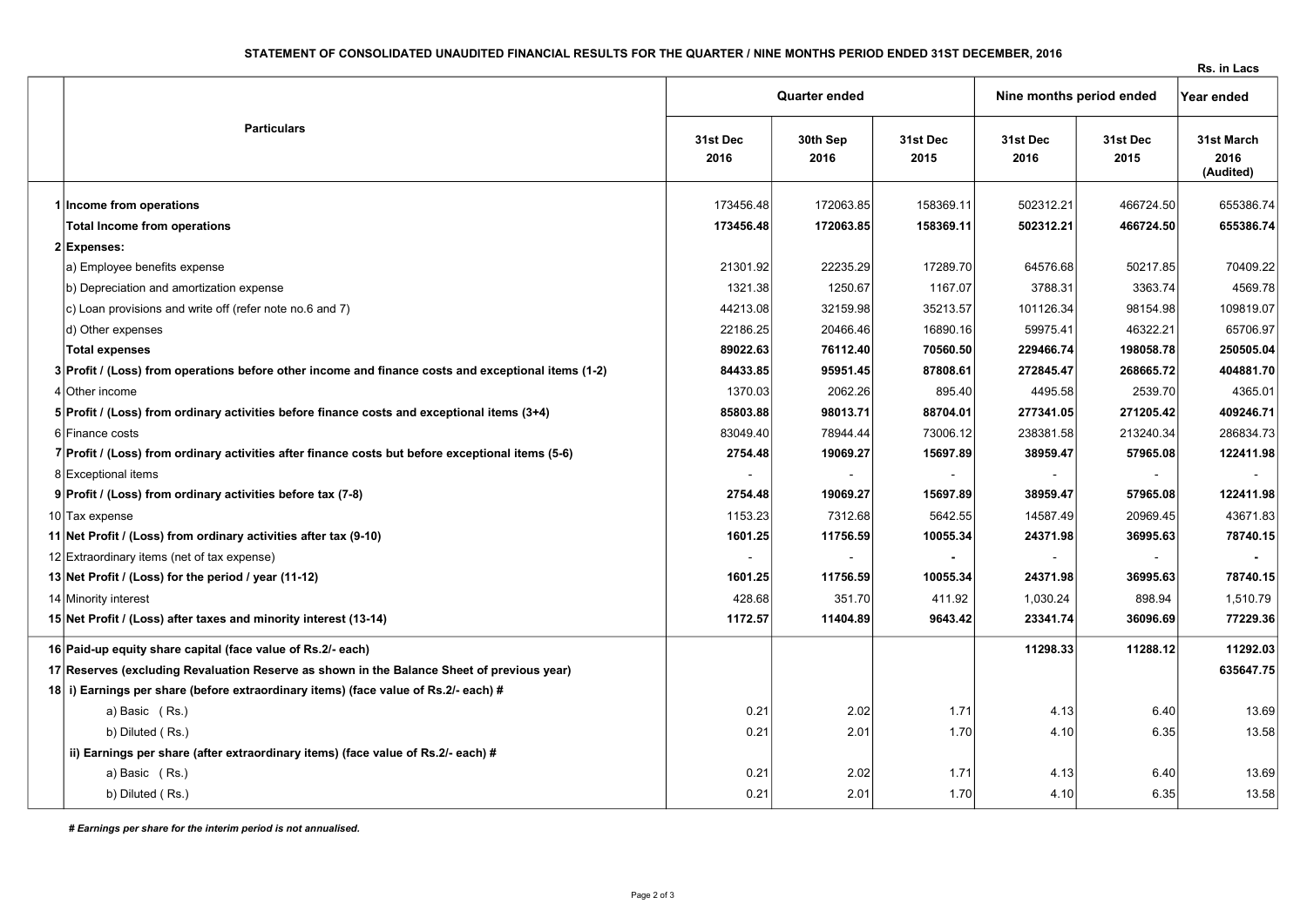## STATEMENT OF CONSOLIDATED UNAUDITED FINANCIAL RESULTS FOR THE QUARTER / NINE MONTHS PERIOD ENDED 31ST DECEMBER, 2016

Rs. in Lacs

|                                                                                                     | <b>Quarter ended</b> |                  |                  | Nine months period ended |                  | Year ended                      |
|-----------------------------------------------------------------------------------------------------|----------------------|------------------|------------------|--------------------------|------------------|---------------------------------|
| <b>Particulars</b>                                                                                  |                      | 30th Sep<br>2016 | 31st Dec<br>2015 | 31st Dec<br>2016         | 31st Dec<br>2015 | 31st March<br>2016<br>(Audited) |
| 1 Income from operations                                                                            | 173456.48            | 172063.85        | 158369.11        | 502312.21                | 466724.50        | 655386.74                       |
| <b>Total Income from operations</b>                                                                 | 173456.48            | 172063.85        | 158369.11        | 502312.21                | 466724.50        | 655386.74                       |
| 2 Expenses:                                                                                         |                      |                  |                  |                          |                  |                                 |
| a) Employee benefits expense                                                                        | 21301.92             | 22235.29         | 17289.70         | 64576.68                 | 50217.85         | 70409.22                        |
| b) Depreciation and amortization expense                                                            | 1321.38              | 1250.67          | 1167.07          | 3788.31                  | 3363.74          | 4569.78                         |
| c) Loan provisions and write off (refer note no.6 and 7)                                            | 44213.08             | 32159.98         | 35213.57         | 101126.34                | 98154.98         | 109819.07                       |
| d) Other expenses                                                                                   | 22186.25             | 20466.46         | 16890.16         | 59975.41                 | 46322.21         | 65706.97                        |
| <b>Total expenses</b>                                                                               | 89022.63             | 76112.40         | 70560.50         | 229466.74                | 198058.78        | 250505.04                       |
| 3 Profit / (Loss) from operations before other income and finance costs and exceptional items (1-2) | 84433.85             | 95951.45         | 87808.61         | 272845.47                | 268665.72        | 404881.70                       |
| 4 Other income                                                                                      | 1370.03              | 2062.26          | 895.40           | 4495.58                  | 2539.70          | 4365.01                         |
| 5 Profit / (Loss) from ordinary activities before finance costs and exceptional items (3+4)         | 85803.88             | 98013.71         | 88704.01         | 277341.05                | 271205.42        | 409246.71                       |
| 6 Finance costs                                                                                     | 83049.40             | 78944.44         | 73006.12         | 238381.58                | 213240.34        | 286834.73                       |
| 7 Profit / (Loss) from ordinary activities after finance costs but before exceptional items (5-6)   | 2754.48              | 19069.27         | 15697.89         | 38959.47                 | 57965.08         | 122411.98                       |
| 8 Exceptional items                                                                                 |                      |                  | $\blacksquare$   |                          |                  |                                 |
| 9 Profit / (Loss) from ordinary activities before tax (7-8)                                         | 2754.48              | 19069.27         | 15697.89         | 38959.47                 | 57965.08         | 122411.98                       |
| 10 Tax expense                                                                                      | 1153.23              | 7312.68          | 5642.55          | 14587.49                 | 20969.45         | 43671.83                        |
| 11 Net Profit / (Loss) from ordinary activities after tax (9-10)                                    | 1601.25              | 11756.59         | 10055.34         | 24371.98                 | 36995.63         | 78740.15                        |
| 12 Extraordinary items (net of tax expense)                                                         |                      |                  |                  |                          |                  |                                 |
| 13 Net Profit / (Loss) for the period / year (11-12)                                                | 1601.25              | 11756.59         | 10055.34         | 24371.98                 | 36995.63         | 78740.15                        |
| 14 Minority interest                                                                                | 428.68               | 351.70           | 411.92           | 1,030.24                 | 898.94           | 1,510.79                        |
| 15 Net Profit / (Loss) after taxes and minority interest (13-14)                                    | 1172.57              | 11404.89         | 9643.42          | 23341.74                 | 36096.69         | 77229.36                        |
| 16 Paid-up equity share capital (face value of Rs.2/- each)                                         |                      |                  |                  | 11298.33                 | 11288.12         | 11292.03                        |
| 17 Reserves (excluding Revaluation Reserve as shown in the Balance Sheet of previous year)          |                      |                  |                  |                          |                  | 635647.75                       |
| 18 i) Earnings per share (before extraordinary items) (face value of Rs.2/- each) #                 |                      |                  |                  |                          |                  |                                 |
| a) Basic (Rs.)                                                                                      | 0.21                 | 2.02             | 1.71             | 4.13                     | 6.40             | 13.69                           |
| b) Diluted (Rs.)                                                                                    | 0.21                 | 2.01             | 1.70             | 4.10                     | 6.35             | 13.58                           |
| ii) Earnings per share (after extraordinary items) (face value of Rs.2/- each) #                    |                      |                  |                  |                          |                  |                                 |
| a) Basic (Rs.)                                                                                      | 0.21                 | 2.02             | 1.71             | 4.13                     | 6.40             | 13.69                           |
| b) Diluted (Rs.)                                                                                    | 0.21                 | 2.01             | 1.70             | 4.10                     | 6.35             | 13.58                           |

# Earnings per share for the interim period is not annualised.